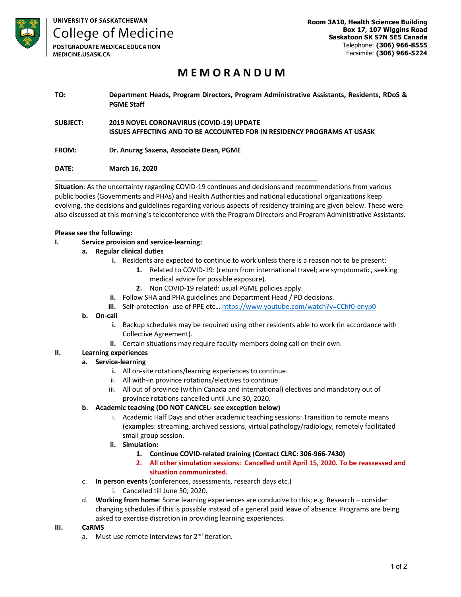

**College of Medicine POSTGRADUATE MEDICAL EDUCATION** 

MEDICINE.USASK.CA

**Room 3A10, Health Sciences Building Box 17, 107 Wiggins Road Saskatoon SK S7N 5E5 Canada** Telephone: **(306) 966-8555** Facsimile: **(306) 966-5224**

# **M E M O R A N D U M**

**TO: Department Heads, Program Directors, Program Administrative Assistants, Residents, RDoS & PGME Staff**

**SUBJECT: 2019 NOVEL CORONAVIRUS (COVID-19) UPDATE ISSUES AFFECTING AND TO BE ACCOUNTED FOR IN RESIDENCY PROGRAMS AT USASK**

**\_\_\_\_\_\_\_\_\_\_\_\_\_\_\_\_\_\_\_\_\_\_\_\_\_\_\_\_\_\_\_\_\_\_\_\_\_\_\_\_\_\_\_\_\_\_\_\_\_\_\_\_\_\_\_\_\_\_\_\_\_\_\_\_\_\_\_\_\_\_**

# **FROM: Dr. Anurag Saxena, Associate Dean, PGME**

# **DATE: March 16, 2020**

**Situation**: As the uncertainty regarding COVID-19 continues and decisions and recommendations from various public bodies (Governments and PHAs) and Health Authorities and national educational organizations keep evolving, the decisions and guidelines regarding various aspects of residency training are given below. These were also discussed at this morning's teleconference with the Program Directors and Program Administrative Assistants.

# **Please see the following:**

**I. Service provision and service-learning:**

# **a. Regular clinical duties**

- **i.** Residents are expected to continue to work unless there is a reason not to be present:
	- **1.** Related to COVID-19: (return from international travel; are symptomatic, seeking medical advice for possible exposure).
	- **2.** Non COVID-19 related: usual PGME policies apply.
- **ii.** Follow SHA and PHA guidelines and Department Head / PD decisions.
- **iii.** Self-protection- use of PPE etc... https://www.youtube.com/watch?v=CChf0-enyp0

#### **b. On-call**

- **i.** Backup schedules may be required using other residents able to work (in accordance with Collective Agreement).
- **ii.** Certain situations may require faculty members doing call on their own.

# **II. Learning experiences**

# **a. Service-learning**

- **i.** All on-site rotations/learning experiences to continue.
- ii. All with-in province rotations/electives to continue.
- iii. All out of province (within Canada and international) electives and mandatory out of province rotations cancelled until June 30, 2020.

#### **b. Academic teaching (DO NOT CANCEL- see exception below)**

- i. Academic Half Days and other academic teaching sessions: Transition to remote means (examples: streaming, archived sessions, virtual pathology/radiology, remotely facilitated small group session.
- **ii. Simulation:** 
	- **1. Continue COVID-related training (Contact CLRC: 306-966-7430)**
	- **2. All other simulation sessions: Cancelled until April 15, 2020. To be reassessed and situation communicated.**
- c. **In person events** (conferences, assessments, research days etc.)
	- i. Cancelled till June 30, 2020.
- d. **Working from home**: Some learning experiences are conducive to this; e.g. Research consider changing schedules if this is possible instead of a general paid leave of absence. Programs are being asked to exercise discretion in providing learning experiences.

#### **III. CaRMS**

a. Must use remote interviews for 2<sup>nd</sup> iteration.